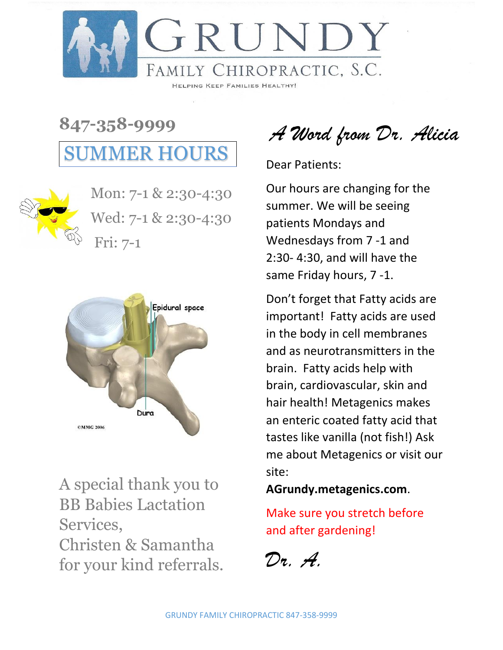

**847-358-9999** SUMMER HOURS



Mon: 7-1 & 2:30-4:30 Wed: 7-1 & 2:30-4:30 Fri: 7-1



A special thank you to BB Babies Lactation Services, Christen & Samantha for your kind referrals.

*A Word from Dr. Alicia*

Dear Patients:

Our hours are changing for the summer. We will be seeing patients Mondays and Wednesdays from 7 -1 and 2:30- 4:30, and will have the same Friday hours, 7 -1.

Don't forget that Fatty acids are important! Fatty acids are used in the body in cell membranes and as neurotransmitters in the brain. Fatty acids help with brain, cardiovascular, skin and hair health! Metagenics makes an enteric coated fatty acid that tastes like vanilla (not fish!) Ask me about Metagenics or visit our site:

**AGrundy.metagenics.com**.

Make sure you stretch before and after gardening!

*Dr. A.*